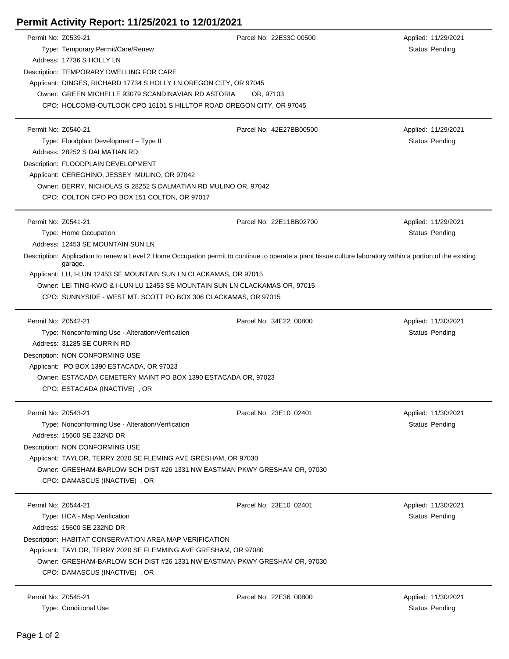| Permit No: Z0539-21 |                                                                                                                                                                         | Parcel No: 22E33C 00500 | Applied: 11/29/2021   |  |  |
|---------------------|-------------------------------------------------------------------------------------------------------------------------------------------------------------------------|-------------------------|-----------------------|--|--|
|                     | Type: Temporary Permit/Care/Renew                                                                                                                                       |                         | Status Pending        |  |  |
|                     | Address: 17736 S HOLLY LN                                                                                                                                               |                         |                       |  |  |
|                     | Description: TEMPORARY DWELLING FOR CARE                                                                                                                                |                         |                       |  |  |
|                     | Applicant: DINGES, RICHARD 17734 S HOLLY LN OREGON CITY, OR 97045                                                                                                       |                         |                       |  |  |
|                     | Owner: GREEN MICHELLE 93079 SCANDINAVIAN RD ASTORIA                                                                                                                     | OR, 97103               |                       |  |  |
|                     | CPO: HOLCOMB-OUTLOOK CPO 16101 S HILLTOP ROAD OREGON CITY, OR 97045                                                                                                     |                         |                       |  |  |
|                     |                                                                                                                                                                         |                         |                       |  |  |
| Permit No: Z0540-21 |                                                                                                                                                                         | Parcel No: 42E27BB00500 | Applied: 11/29/2021   |  |  |
|                     | Type: Floodplain Development - Type II                                                                                                                                  |                         | Status Pending        |  |  |
|                     | Address: 28252 S DALMATIAN RD                                                                                                                                           |                         |                       |  |  |
|                     | Description: FLOODPLAIN DEVELOPMENT                                                                                                                                     |                         |                       |  |  |
|                     | Applicant: CEREGHINO, JESSEY MULINO, OR 97042                                                                                                                           |                         |                       |  |  |
|                     | Owner: BERRY, NICHOLAS G 28252 S DALMATIAN RD MULINO OR, 97042                                                                                                          |                         |                       |  |  |
|                     | CPO: COLTON CPO PO BOX 151 COLTON, OR 97017                                                                                                                             |                         |                       |  |  |
|                     |                                                                                                                                                                         |                         |                       |  |  |
| Permit No: Z0541-21 |                                                                                                                                                                         | Parcel No: 22E11BB02700 | Applied: 11/29/2021   |  |  |
|                     | Type: Home Occupation                                                                                                                                                   |                         | Status Pending        |  |  |
|                     | Address: 12453 SE MOUNTAIN SUN LN                                                                                                                                       |                         |                       |  |  |
|                     | Description: Application to renew a Level 2 Home Occupation permit to continue to operate a plant tissue culture laboratory within a portion of the existing<br>garage. |                         |                       |  |  |
|                     | Applicant: LU, I-LUN 12453 SE MOUNTAIN SUN LN CLACKAMAS, OR 97015                                                                                                       |                         |                       |  |  |
|                     | Owner: LEI TING-KWO & I-LUN LU 12453 SE MOUNTAIN SUN LN CLACKAMAS OR, 97015                                                                                             |                         |                       |  |  |
|                     | CPO: SUNNYSIDE - WEST MT. SCOTT PO BOX 306 CLACKAMAS, OR 97015                                                                                                          |                         |                       |  |  |
|                     |                                                                                                                                                                         |                         |                       |  |  |
| Permit No: Z0542-21 |                                                                                                                                                                         | Parcel No: 34E22 00800  | Applied: 11/30/2021   |  |  |
|                     | Type: Nonconforming Use - Alteration/Verification                                                                                                                       |                         | Status Pending        |  |  |
|                     | Address: 31285 SE CURRIN RD                                                                                                                                             |                         |                       |  |  |
|                     | Description: NON CONFORMING USE                                                                                                                                         |                         |                       |  |  |
|                     | Applicant: PO BOX 1390 ESTACADA, OR 97023                                                                                                                               |                         |                       |  |  |
|                     | Owner: ESTACADA CEMETERY MAINT PO BOX 1390 ESTACADA OR, 97023                                                                                                           |                         |                       |  |  |
|                     | CPO: ESTACADA (INACTIVE), OR                                                                                                                                            |                         |                       |  |  |
|                     |                                                                                                                                                                         |                         |                       |  |  |
| Permit No: Z0543-21 |                                                                                                                                                                         | Parcel No: 23E10 02401  | Applied: 11/30/2021   |  |  |
|                     | Type: Nonconforming Use - Alteration/Verification                                                                                                                       |                         | <b>Status Pending</b> |  |  |
|                     | Address: 15600 SE 232ND DR                                                                                                                                              |                         |                       |  |  |
|                     | Description: NON CONFORMING USE                                                                                                                                         |                         |                       |  |  |
|                     | Applicant: TAYLOR, TERRY 2020 SE FLEMING AVE GRESHAM, OR 97030                                                                                                          |                         |                       |  |  |
|                     | Owner: GRESHAM-BARLOW SCH DIST #26 1331 NW EASTMAN PKWY GRESHAM OR, 97030                                                                                               |                         |                       |  |  |
|                     | CPO: DAMASCUS (INACTIVE), OR                                                                                                                                            |                         |                       |  |  |
|                     |                                                                                                                                                                         |                         |                       |  |  |
| Permit No: Z0544-21 |                                                                                                                                                                         | Parcel No: 23E10 02401  | Applied: 11/30/2021   |  |  |
|                     | Type: HCA - Map Verification                                                                                                                                            |                         | Status Pending        |  |  |
|                     | Address: 15600 SE 232ND DR                                                                                                                                              |                         |                       |  |  |
|                     | Description: HABITAT CONSERVATION AREA MAP VERIFICATION<br>Applicant: TAYLOR, TERRY 2020 SE FLEMMING AVE GRESHAM, OR 97080                                              |                         |                       |  |  |
|                     |                                                                                                                                                                         |                         |                       |  |  |
|                     | Owner: GRESHAM-BARLOW SCH DIST #26 1331 NW EASTMAN PKWY GRESHAM OR, 97030                                                                                               |                         |                       |  |  |
|                     | CPO: DAMASCUS (INACTIVE), OR                                                                                                                                            |                         |                       |  |  |
|                     |                                                                                                                                                                         |                         |                       |  |  |
| Permit No: Z0545-21 |                                                                                                                                                                         | Parcel No: 22E36 00800  | Applied: 11/30/2021   |  |  |

Type: Conditional Use Status Pending

## **Permit Activity Report: 11/25/2021 to 12/01/2021**